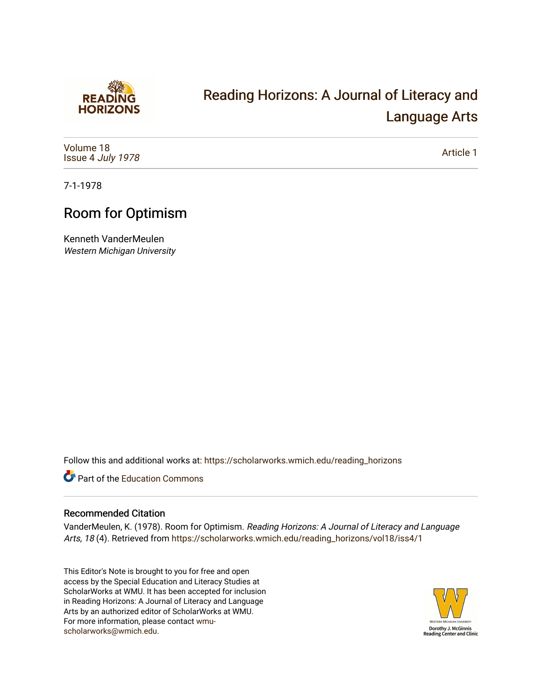

## [Reading Horizons: A Journal of Literacy and](https://scholarworks.wmich.edu/reading_horizons)  [Language Arts](https://scholarworks.wmich.edu/reading_horizons)

[Volume 18](https://scholarworks.wmich.edu/reading_horizons/vol18) Issue 4 [July 1978](https://scholarworks.wmich.edu/reading_horizons/vol18/iss4)

[Article 1](https://scholarworks.wmich.edu/reading_horizons/vol18/iss4/1) 

7-1-1978

## Room for Optimism

Kenneth VanderMeulen Western Michigan University

Follow this and additional works at: [https://scholarworks.wmich.edu/reading\\_horizons](https://scholarworks.wmich.edu/reading_horizons?utm_source=scholarworks.wmich.edu%2Freading_horizons%2Fvol18%2Fiss4%2F1&utm_medium=PDF&utm_campaign=PDFCoverPages)

Part of the [Education Commons](http://network.bepress.com/hgg/discipline/784?utm_source=scholarworks.wmich.edu%2Freading_horizons%2Fvol18%2Fiss4%2F1&utm_medium=PDF&utm_campaign=PDFCoverPages)

## Recommended Citation

VanderMeulen, K. (1978). Room for Optimism. Reading Horizons: A Journal of Literacy and Language Arts, 18 (4). Retrieved from [https://scholarworks.wmich.edu/reading\\_horizons/vol18/iss4/1](https://scholarworks.wmich.edu/reading_horizons/vol18/iss4/1?utm_source=scholarworks.wmich.edu%2Freading_horizons%2Fvol18%2Fiss4%2F1&utm_medium=PDF&utm_campaign=PDFCoverPages) 

This Editor's Note is brought to you for free and open access by the Special Education and Literacy Studies at ScholarWorks at WMU. It has been accepted for inclusion in Reading Horizons: A Journal of Literacy and Language Arts by an authorized editor of ScholarWorks at WMU. For more information, please contact [wmu](mailto:wmu-scholarworks@wmich.edu)[scholarworks@wmich.edu.](mailto:wmu-scholarworks@wmich.edu)